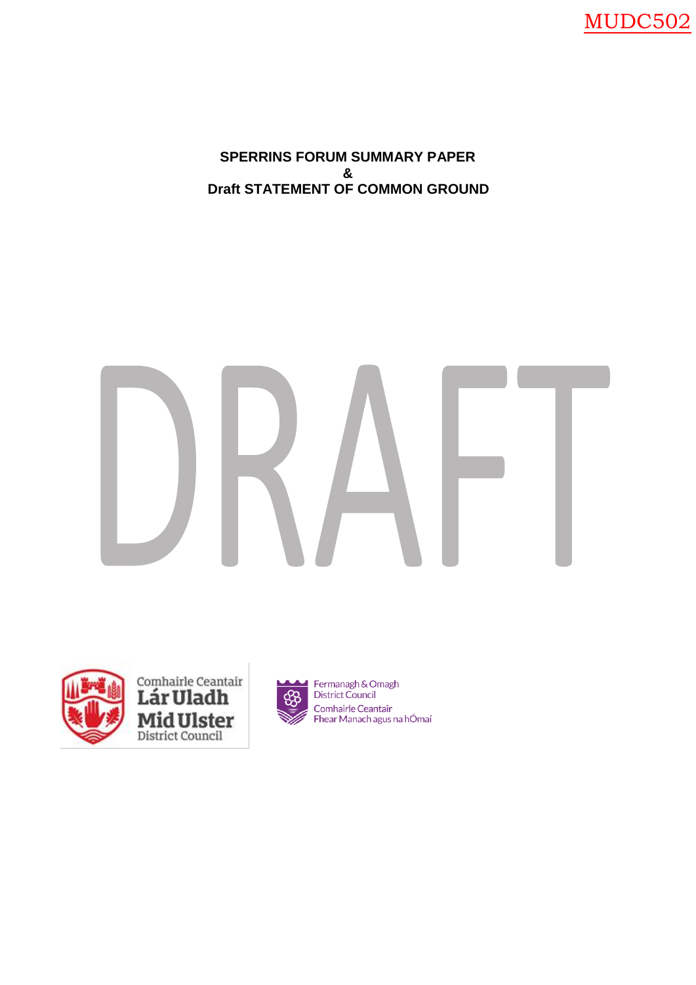MUDC502

**SPERRINS FORUM SUMMARY PAPER & Draft STATEMENT OF COMMON GROUND**



Comhairle Ceantair<br>**Lár Uladh Mid Ulster**<br>District Council



Fermanagh & Omagh<br>District Council Comhairle Ceantair Fhear Manach agus na hÓmaí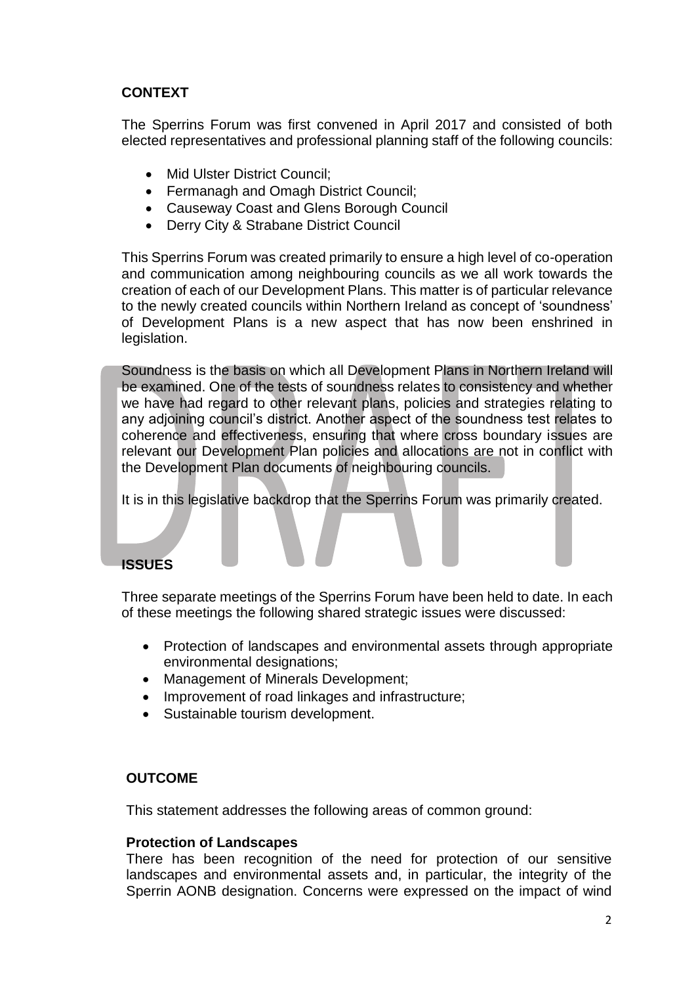# **CONTEXT**

The Sperrins Forum was first convened in April 2017 and consisted of both elected representatives and professional planning staff of the following councils:

- Mid Ulster District Council:
- Fermanagh and Omagh District Council:
- Causeway Coast and Glens Borough Council
- Derry City & Strabane District Council

This Sperrins Forum was created primarily to ensure a high level of co-operation and communication among neighbouring councils as we all work towards the creation of each of our Development Plans. This matter is of particular relevance to the newly created councils within Northern Ireland as concept of 'soundness' of Development Plans is a new aspect that has now been enshrined in legislation.

Soundness is the basis on which all Development Plans in Northern Ireland will be examined. One of the tests of soundness relates to consistency and whether we have had regard to other relevant plans, policies and strategies relating to any adjoining council's district. Another aspect of the soundness test relates to coherence and effectiveness, ensuring that where cross boundary issues are relevant our Development Plan policies and allocations are not in conflict with the Development Plan documents of neighbouring councils.

It is in this legislative backdrop that the Sperrins Forum was primarily created.

# **ISSUES**

Three separate meetings of the Sperrins Forum have been held to date. In each of these meetings the following shared strategic issues were discussed:

- Protection of landscapes and environmental assets through appropriate environmental designations;
- Management of Minerals Development;
- Improvement of road linkages and infrastructure;
- Sustainable tourism development.

## **OUTCOME**

This statement addresses the following areas of common ground:

### **Protection of Landscapes**

There has been recognition of the need for protection of our sensitive landscapes and environmental assets and, in particular, the integrity of the Sperrin AONB designation. Concerns were expressed on the impact of wind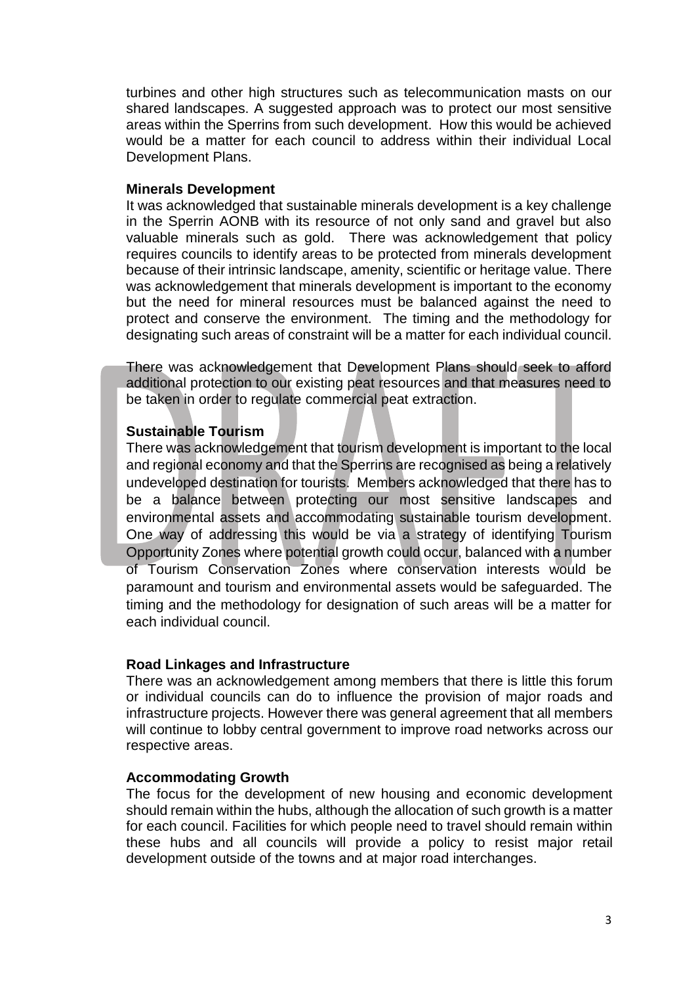turbines and other high structures such as telecommunication masts on our shared landscapes. A suggested approach was to protect our most sensitive areas within the Sperrins from such development. How this would be achieved would be a matter for each council to address within their individual Local Development Plans.

### **Minerals Development**

It was acknowledged that sustainable minerals development is a key challenge in the Sperrin AONB with its resource of not only sand and gravel but also valuable minerals such as gold. There was acknowledgement that policy requires councils to identify areas to be protected from minerals development because of their intrinsic landscape, amenity, scientific or heritage value. There was acknowledgement that minerals development is important to the economy but the need for mineral resources must be balanced against the need to protect and conserve the environment. The timing and the methodology for designating such areas of constraint will be a matter for each individual council.

There was acknowledgement that Development Plans should seek to afford additional protection to our existing peat resources and that measures need to be taken in order to regulate commercial peat extraction.

## **Sustainable Tourism**

There was acknowledgement that tourism development is important to the local and regional economy and that the Sperrins are recognised as being a relatively undeveloped destination for tourists. Members acknowledged that there has to be a balance between protecting our most sensitive landscapes and environmental assets and accommodating sustainable tourism development. One way of addressing this would be via a strategy of identifying Tourism Opportunity Zones where potential growth could occur, balanced with a number of Tourism Conservation Zones where conservation interests would be paramount and tourism and environmental assets would be safeguarded. The timing and the methodology for designation of such areas will be a matter for each individual council.

## **Road Linkages and Infrastructure**

There was an acknowledgement among members that there is little this forum or individual councils can do to influence the provision of major roads and infrastructure projects. However there was general agreement that all members will continue to lobby central government to improve road networks across our respective areas.

## **Accommodating Growth**

The focus for the development of new housing and economic development should remain within the hubs, although the allocation of such growth is a matter for each council. Facilities for which people need to travel should remain within these hubs and all councils will provide a policy to resist major retail development outside of the towns and at major road interchanges.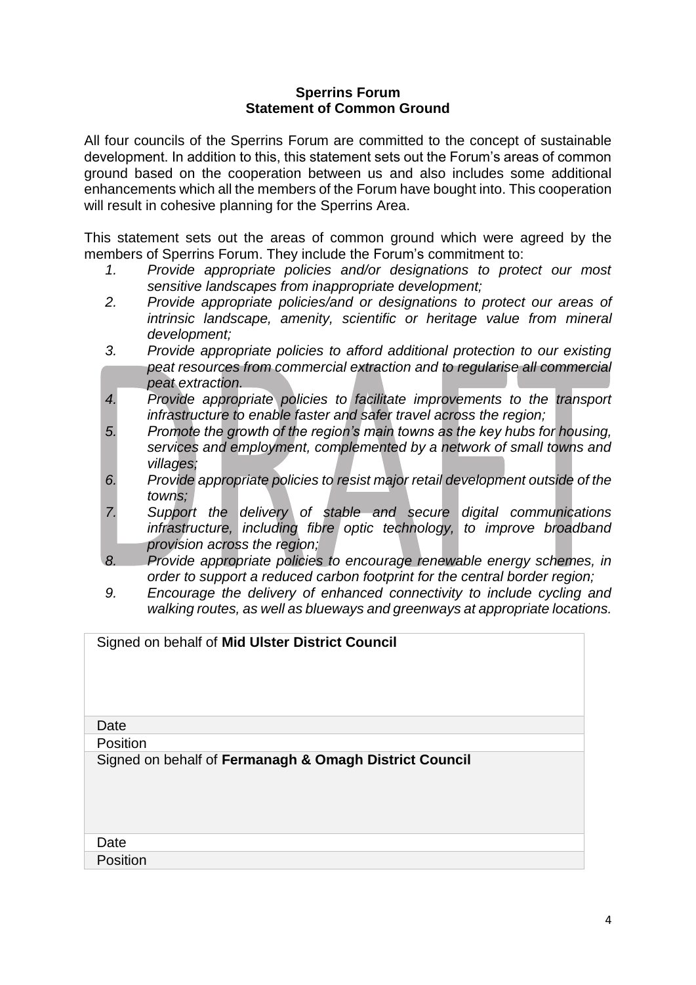### **Sperrins Forum Statement of Common Ground**

All four councils of the Sperrins Forum are committed to the concept of sustainable development. In addition to this, this statement sets out the Forum's areas of common ground based on the cooperation between us and also includes some additional enhancements which all the members of the Forum have bought into. This cooperation will result in cohesive planning for the Sperrins Area.

This statement sets out the areas of common ground which were agreed by the members of Sperrins Forum. They include the Forum's commitment to:

- *1. Provide appropriate policies and/or designations to protect our most sensitive landscapes from inappropriate development;*
- *2. Provide appropriate policies/and or designations to protect our areas of intrinsic landscape, amenity, scientific or heritage value from mineral development;*
- *3. Provide appropriate policies to afford additional protection to our existing peat resources from commercial extraction and to regularise all commercial peat extraction.*
- *4. Provide appropriate policies to facilitate improvements to the transport infrastructure to enable faster and safer travel across the region;*
- *5. Promote the growth of the region's main towns as the key hubs for housing, services and employment, complemented by a network of small towns and villages;*
- *6. Provide appropriate policies to resist major retail development outside of the towns;*
- *7. Support the delivery of stable and secure digital communications infrastructure, including fibre optic technology, to improve broadband provision across the region;*
- *8. Provide appropriate policies to encourage renewable energy schemes, in order to support a reduced carbon footprint for the central border region;*
- *9. Encourage the delivery of enhanced connectivity to include cycling and walking routes, as well as blueways and greenways at appropriate locations.*

| Signed on behalf of Mid Ulster District Council        |
|--------------------------------------------------------|
| Date                                                   |
| <b>Position</b>                                        |
| Signed on behalf of Fermanagh & Omagh District Council |
| Date                                                   |
| Position                                               |
|                                                        |